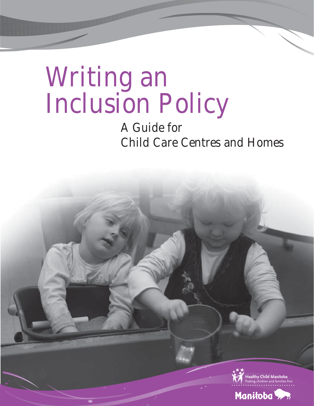# Writing an Inclusion Policy

A Guide for Child Care Centres and Homes



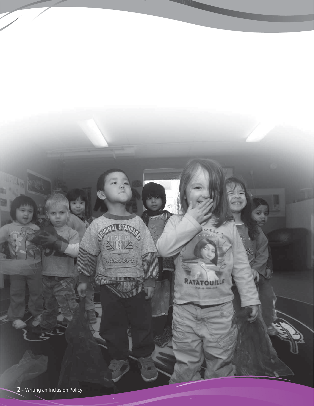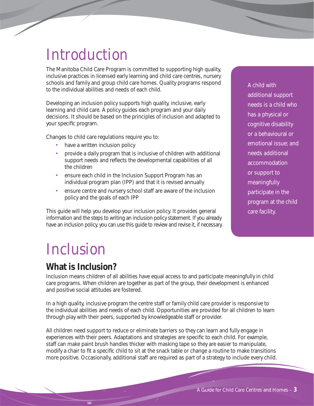## Introduction

The Manitoba Child Care Program is committed to supporting high quality, inclusive practices in licensed early learning and child care centres, nursery schools and family and group child care homes. Quality programs respond to the individual abilities and needs of each child.

Developing an inclusion policy supports high quality, inclusive, early learning and child care. A policy guides each program and your daily decisions. It should be based on the principles of inclusion and adapted to your specific program.

Changes to child care regulations require you to:

- have a written inclusion policy
- provide a daily program that is inclusive of children with additional support needs and reflects the developmental capabilities of all the children
- ensure each child in the Inclusion Support Program has an individual program plan (IPP) and that it is revised annually
- ensure centre and nursery school staff are aware of the inclusion policy and the goals of each IPP

This guide will help you develop your inclusion policy. It provides general information and the steps to writing an inclusion policy statement. If you already have an inclusion policy, you can use this guide to review and revise it, if necessary. A child with additional support needs is a child who has a physical or cognitive disability or a behavioural or emotional issue; and needs additional accommodation or support to meaningfully participate in the program at the child care facility.

## Inclusion

### **What is Inclusion?**

Inclusion means children of all abilities have equal access to and participate meaningfully in child care programs. When children are together as part of the group, their development is enhanced and positive social attitudes are fostered.

In a high quality, inclusive program the centre staff or family child care provider is responsive to the individual abilities and needs of each child. Opportunities are provided for all children to learn through play with their peers, supported by knowledgeable staff or provider.

All children need support to reduce or eliminate barriers so they can learn and fully engage in experiences with their peers. Adaptations and strategies are specific to each child. For example, staff can make paint brush handles thicker with masking tape so they are easier to manipulate, modify a chair to fit a specific child to sit at the snack table or change a routine to make transitions more positive. Occasionally, additional staff are required as part of a strategy to include every child.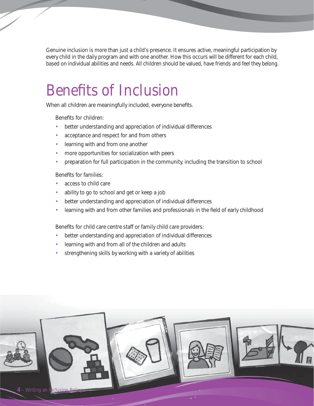Genuine inclusion is more than just a child's presence. It ensures active, meaningful participation by every child in the daily program and with one another. How this occurs will be different for each child, based on individual abilities and needs. All children should be valued, have friends and feel they belong.

## **Benefits of Inclusion**

When all children are meaningfully included, everyone benefits.

Benefits for children:

- better understanding and appreciation of individual differences
- acceptance and respect for and from others
- learning with and from one another
- more opportunities for socialization with peers
- preparation for full participation in the community, including the transition to school

Benefits for families:

- access to child care
- ability to go to school and get or keep a job
- better understanding and appreciation of individual differences
- learning with and from other families and professionals in the field of early childhood

Benefits for child care centre staff or family child care providers:

- better understanding and appreciation of individual differences
- learning with and from all of the children and adults
- strengthening skills by working with a variety of abilities

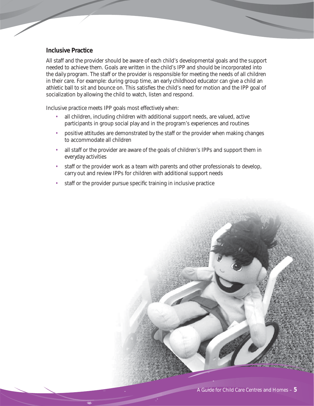#### **Inclusive Practice**

All staff and the provider should be aware of each child's developmental goals and the support needed to achieve them. Goals are written in the child's IPP and should be incorporated into the daily program. The staff or the provider is responsible for meeting the needs of all children in their care. For example: during group time, an early childhood educator can give a child an athletic ball to sit and bounce on. This satisfies the child's need for motion and the IPP goal of socialization by allowing the child to watch, listen and respond.

Inclusive practice meets IPP goals most effectively when:

- all children, including children with additional support needs, are valued, active participants in group social play and in the program's experiences and routines
- positive attitudes are demonstrated by the staff or the provider when making changes to accommodate all children
- all staff or the provider are aware of the goals of children's IPPs and support them in everyday activities
- staff or the provider work as a team with parents and other professionals to develop, carry out and review IPPs for children with additional support needs
- staff or the provider pursue specific training in inclusive practice

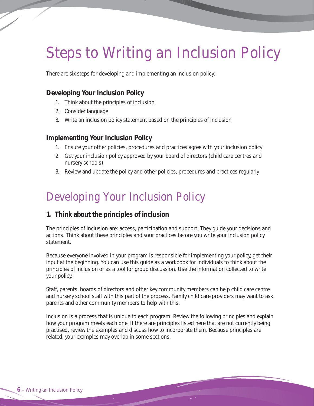## Steps to Writing an Inclusion Policy

There are six steps for developing and implementing an inclusion policy:

#### **Developing Your Inclusion Policy**

- 1. Think about the principles of inclusion
- 2. Consider language
- 3. Write an inclusion policy statement based on the principles of inclusion

#### **Implementing Your Inclusion Policy**

- 1. Ensure your other policies, procedures and practices agree with your inclusion policy
- 2. Get your inclusion policy approved by your board of directors (child care centres and nursery schools)
- 3. Review and update the policy and other policies, procedures and practices regularly

## Developing Your Inclusion Policy

#### **1. Think about the principles of inclusion**

The principles of inclusion are: access, participation and support. They guide your decisions and actions. Think about these principles and your practices before you write your inclusion policy statement.

Because everyone involved in your program is responsible for implementing your policy, get their input at the beginning. You can use this guide as a workbook for individuals to think about the principles of inclusion or as a tool for group discussion. Use the information collected to write your policy.

Staff, parents, boards of directors and other key community members can help child care centre and nursery school staff with this part of the process. Family child care providers may want to ask parents and other community members to help with this.

Inclusion is a process that is unique to each program. Review the following principles and explain how your program meets each one. If there are principles listed here that are not currently being practised, review the examples and discuss how to incorporate them. Because principles are related, your examples may overlap in some sections.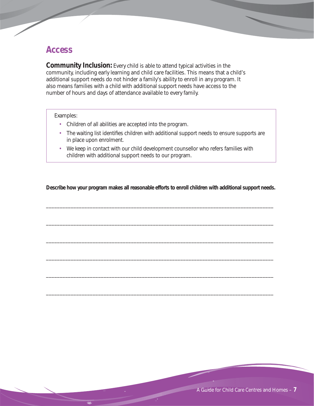### **Access**

**Community Inclusion:** Every child is able to attend typical activities in the community, including early learning and child care facilities. This means that a child's additional support needs do not hinder a family's ability to enroll in any program. It also means families with a child with additional support needs have access to the number of hours and days of attendance available to every family.

Examples:

- Children of all abilities are accepted into the program.
- The waiting list identifies children with additional support needs to ensure supports are in place upon enrolment.
- We keep in contact with our child development counsellor who refers families with children with additional support needs to our program.

**Describe how your program makes all reasonable efforts to enroll children with additional support needs.** 

\_\_\_\_\_\_\_\_\_\_\_\_\_\_\_\_\_\_\_\_\_\_\_\_\_\_\_\_\_\_\_\_\_\_\_\_\_\_\_\_\_\_\_\_\_\_\_\_\_\_\_\_\_\_\_\_\_\_\_\_\_\_\_\_\_\_\_\_\_\_\_\_\_\_\_\_\_\_\_\_\_\_\_

\_\_\_\_\_\_\_\_\_\_\_\_\_\_\_\_\_\_\_\_\_\_\_\_\_\_\_\_\_\_\_\_\_\_\_\_\_\_\_\_\_\_\_\_\_\_\_\_\_\_\_\_\_\_\_\_\_\_\_\_\_\_\_\_\_\_\_\_\_\_\_\_\_\_\_\_\_\_\_\_\_\_\_

\_\_\_\_\_\_\_\_\_\_\_\_\_\_\_\_\_\_\_\_\_\_\_\_\_\_\_\_\_\_\_\_\_\_\_\_\_\_\_\_\_\_\_\_\_\_\_\_\_\_\_\_\_\_\_\_\_\_\_\_\_\_\_\_\_\_\_\_\_\_\_\_\_\_\_\_\_\_\_\_\_\_\_

\_\_\_\_\_\_\_\_\_\_\_\_\_\_\_\_\_\_\_\_\_\_\_\_\_\_\_\_\_\_\_\_\_\_\_\_\_\_\_\_\_\_\_\_\_\_\_\_\_\_\_\_\_\_\_\_\_\_\_\_\_\_\_\_\_\_\_\_\_\_\_\_\_\_\_\_\_\_\_\_\_\_\_

\_\_\_\_\_\_\_\_\_\_\_\_\_\_\_\_\_\_\_\_\_\_\_\_\_\_\_\_\_\_\_\_\_\_\_\_\_\_\_\_\_\_\_\_\_\_\_\_\_\_\_\_\_\_\_\_\_\_\_\_\_\_\_\_\_\_\_\_\_\_\_\_\_\_\_\_\_\_\_\_\_\_\_

\_\_\_\_\_\_\_\_\_\_\_\_\_\_\_\_\_\_\_\_\_\_\_\_\_\_\_\_\_\_\_\_\_\_\_\_\_\_\_\_\_\_\_\_\_\_\_\_\_\_\_\_\_\_\_\_\_\_\_\_\_\_\_\_\_\_\_\_\_\_\_\_\_\_\_\_\_\_\_\_\_\_\_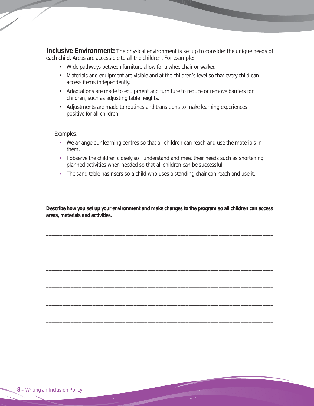**Inclusive Environment:** The physical environment is set up to consider the unique needs of each child. Areas are accessible to all the children. For example:

- Wide pathways between furniture allow for a wheelchair or walker.
- Materials and equipment are visible and at the children's level so that every child can access items independently.
- Adaptations are made to equipment and furniture to reduce or remove barriers for children, such as adjusting table heights.
- Adjustments are made to routines and transitions to make learning experiences positive for all children.

#### Examples:

- We arrange our learning centres so that all children can reach and use the materials in them.
- I observe the children closely so I understand and meet their needs such as shortening planned activities when needed so that all children can be successful.
- The sand table has risers so a child who uses a standing chair can reach and use it.

**Describe how you set up your environment and make changes to the program so all children can access areas, materials and activities.**

\_\_\_\_\_\_\_\_\_\_\_\_\_\_\_\_\_\_\_\_\_\_\_\_\_\_\_\_\_\_\_\_\_\_\_\_\_\_\_\_\_\_\_\_\_\_\_\_\_\_\_\_\_\_\_\_\_\_\_\_\_\_\_\_\_\_\_\_\_\_\_\_\_\_\_\_\_\_\_\_\_\_\_

\_\_\_\_\_\_\_\_\_\_\_\_\_\_\_\_\_\_\_\_\_\_\_\_\_\_\_\_\_\_\_\_\_\_\_\_\_\_\_\_\_\_\_\_\_\_\_\_\_\_\_\_\_\_\_\_\_\_\_\_\_\_\_\_\_\_\_\_\_\_\_\_\_\_\_\_\_\_\_\_\_\_\_

\_\_\_\_\_\_\_\_\_\_\_\_\_\_\_\_\_\_\_\_\_\_\_\_\_\_\_\_\_\_\_\_\_\_\_\_\_\_\_\_\_\_\_\_\_\_\_\_\_\_\_\_\_\_\_\_\_\_\_\_\_\_\_\_\_\_\_\_\_\_\_\_\_\_\_\_\_\_\_\_\_\_\_

\_\_\_\_\_\_\_\_\_\_\_\_\_\_\_\_\_\_\_\_\_\_\_\_\_\_\_\_\_\_\_\_\_\_\_\_\_\_\_\_\_\_\_\_\_\_\_\_\_\_\_\_\_\_\_\_\_\_\_\_\_\_\_\_\_\_\_\_\_\_\_\_\_\_\_\_\_\_\_\_\_\_\_

\_\_\_\_\_\_\_\_\_\_\_\_\_\_\_\_\_\_\_\_\_\_\_\_\_\_\_\_\_\_\_\_\_\_\_\_\_\_\_\_\_\_\_\_\_\_\_\_\_\_\_\_\_\_\_\_\_\_\_\_\_\_\_\_\_\_\_\_\_\_\_\_\_\_\_\_\_\_\_\_\_\_\_

\_\_\_\_\_\_\_\_\_\_\_\_\_\_\_\_\_\_\_\_\_\_\_\_\_\_\_\_\_\_\_\_\_\_\_\_\_\_\_\_\_\_\_\_\_\_\_\_\_\_\_\_\_\_\_\_\_\_\_\_\_\_\_\_\_\_\_\_\_\_\_\_\_\_\_\_\_\_\_\_\_\_\_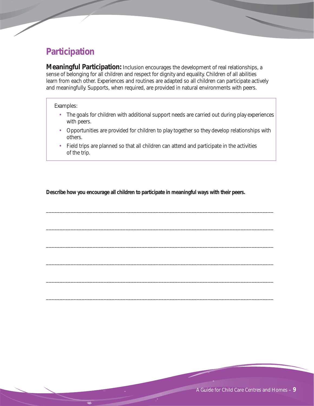### **Participation**

**Meaningful Participation:** Inclusion encourages the development of real relationships, a sense of belonging for all children and respect for dignity and equality. Children of all abilities learn from each other. Experiences and routines are adapted so all children can participate actively and meaningfully. Supports, when required, are provided in natural environments with peers.

Examples:

- The goals for children with additional support needs are carried out during play experiences with peers.
- Opportunities are provided for children to play together so they develop relationships with others.
- Field trips are planned so that all children can attend and participate in the activities of the trip.

\_\_\_\_\_\_\_\_\_\_\_\_\_\_\_\_\_\_\_\_\_\_\_\_\_\_\_\_\_\_\_\_\_\_\_\_\_\_\_\_\_\_\_\_\_\_\_\_\_\_\_\_\_\_\_\_\_\_\_\_\_\_\_\_\_\_\_\_\_\_\_\_\_\_\_\_\_\_\_\_\_\_\_

\_\_\_\_\_\_\_\_\_\_\_\_\_\_\_\_\_\_\_\_\_\_\_\_\_\_\_\_\_\_\_\_\_\_\_\_\_\_\_\_\_\_\_\_\_\_\_\_\_\_\_\_\_\_\_\_\_\_\_\_\_\_\_\_\_\_\_\_\_\_\_\_\_\_\_\_\_\_\_\_\_\_\_

\_\_\_\_\_\_\_\_\_\_\_\_\_\_\_\_\_\_\_\_\_\_\_\_\_\_\_\_\_\_\_\_\_\_\_\_\_\_\_\_\_\_\_\_\_\_\_\_\_\_\_\_\_\_\_\_\_\_\_\_\_\_\_\_\_\_\_\_\_\_\_\_\_\_\_\_\_\_\_\_\_\_\_

\_\_\_\_\_\_\_\_\_\_\_\_\_\_\_\_\_\_\_\_\_\_\_\_\_\_\_\_\_\_\_\_\_\_\_\_\_\_\_\_\_\_\_\_\_\_\_\_\_\_\_\_\_\_\_\_\_\_\_\_\_\_\_\_\_\_\_\_\_\_\_\_\_\_\_\_\_\_\_\_\_\_\_

\_\_\_\_\_\_\_\_\_\_\_\_\_\_\_\_\_\_\_\_\_\_\_\_\_\_\_\_\_\_\_\_\_\_\_\_\_\_\_\_\_\_\_\_\_\_\_\_\_\_\_\_\_\_\_\_\_\_\_\_\_\_\_\_\_\_\_\_\_\_\_\_\_\_\_\_\_\_\_\_\_\_\_

\_\_\_\_\_\_\_\_\_\_\_\_\_\_\_\_\_\_\_\_\_\_\_\_\_\_\_\_\_\_\_\_\_\_\_\_\_\_\_\_\_\_\_\_\_\_\_\_\_\_\_\_\_\_\_\_\_\_\_\_\_\_\_\_\_\_\_\_\_\_\_\_\_\_\_\_\_\_\_\_\_\_\_

**Describe how you encourage all children to participate in meaningful ways with their peers.**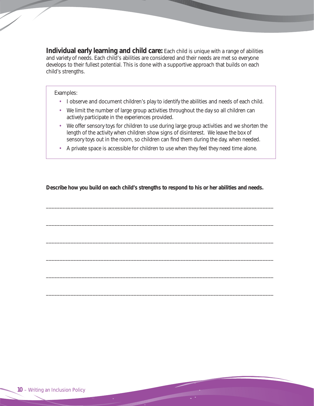**Individual early learning and child care:** Each child is unique with a range of abilities and variety of needs. Each child's abilities are considered and their needs are met so everyone develops to their fullest potential. This is done with a supportive approach that builds on each child's strengths.

#### Examples:

- I observe and document children's play to identify the abilities and needs of each child.
- We limit the number of large group activities throughout the day so all children can actively participate in the experiences provided.
- We offer sensory toys for children to use during large group activities and we shorten the length of the activity when children show signs of disinterest. We leave the box of sensory toys out in the room, so children can find them during the day, when needed.
- A private space is accessible for children to use when they feel they need time alone.

**Describe how you build on each child's strengths to respond to his or her abilities and needs.** 

\_\_\_\_\_\_\_\_\_\_\_\_\_\_\_\_\_\_\_\_\_\_\_\_\_\_\_\_\_\_\_\_\_\_\_\_\_\_\_\_\_\_\_\_\_\_\_\_\_\_\_\_\_\_\_\_\_\_\_\_\_\_\_\_\_\_\_\_\_\_\_\_\_\_\_\_\_\_\_\_\_\_\_

\_\_\_\_\_\_\_\_\_\_\_\_\_\_\_\_\_\_\_\_\_\_\_\_\_\_\_\_\_\_\_\_\_\_\_\_\_\_\_\_\_\_\_\_\_\_\_\_\_\_\_\_\_\_\_\_\_\_\_\_\_\_\_\_\_\_\_\_\_\_\_\_\_\_\_\_\_\_\_\_\_\_\_

\_\_\_\_\_\_\_\_\_\_\_\_\_\_\_\_\_\_\_\_\_\_\_\_\_\_\_\_\_\_\_\_\_\_\_\_\_\_\_\_\_\_\_\_\_\_\_\_\_\_\_\_\_\_\_\_\_\_\_\_\_\_\_\_\_\_\_\_\_\_\_\_\_\_\_\_\_\_\_\_\_\_\_

\_\_\_\_\_\_\_\_\_\_\_\_\_\_\_\_\_\_\_\_\_\_\_\_\_\_\_\_\_\_\_\_\_\_\_\_\_\_\_\_\_\_\_\_\_\_\_\_\_\_\_\_\_\_\_\_\_\_\_\_\_\_\_\_\_\_\_\_\_\_\_\_\_\_\_\_\_\_\_\_\_\_\_

\_\_\_\_\_\_\_\_\_\_\_\_\_\_\_\_\_\_\_\_\_\_\_\_\_\_\_\_\_\_\_\_\_\_\_\_\_\_\_\_\_\_\_\_\_\_\_\_\_\_\_\_\_\_\_\_\_\_\_\_\_\_\_\_\_\_\_\_\_\_\_\_\_\_\_\_\_\_\_\_\_\_\_

\_\_\_\_\_\_\_\_\_\_\_\_\_\_\_\_\_\_\_\_\_\_\_\_\_\_\_\_\_\_\_\_\_\_\_\_\_\_\_\_\_\_\_\_\_\_\_\_\_\_\_\_\_\_\_\_\_\_\_\_\_\_\_\_\_\_\_\_\_\_\_\_\_\_\_\_\_\_\_\_\_\_\_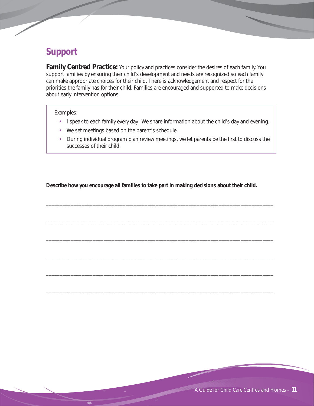### **Support**

**Family Centred Practice:** Your policy and practices consider the desires of each family. You support families by ensuring their child's development and needs are recognized so each family can make appropriate choices for their child. There is acknowledgement and respect for the priorities the family has for their child. Families are encouraged and supported to make decisions about early intervention options.

Examples:

- I speak to each family every day. We share information about the child's day and evening.
- We set meetings based on the parent's schedule.
- During individual program plan review meetings, we let parents be the first to discuss the successes of their child.

**Describe how you encourage all families to take part in making decisions about their child.** 

\_\_\_\_\_\_\_\_\_\_\_\_\_\_\_\_\_\_\_\_\_\_\_\_\_\_\_\_\_\_\_\_\_\_\_\_\_\_\_\_\_\_\_\_\_\_\_\_\_\_\_\_\_\_\_\_\_\_\_\_\_\_\_\_\_\_\_\_\_\_\_\_\_\_\_\_\_\_\_\_\_\_\_

\_\_\_\_\_\_\_\_\_\_\_\_\_\_\_\_\_\_\_\_\_\_\_\_\_\_\_\_\_\_\_\_\_\_\_\_\_\_\_\_\_\_\_\_\_\_\_\_\_\_\_\_\_\_\_\_\_\_\_\_\_\_\_\_\_\_\_\_\_\_\_\_\_\_\_\_\_\_\_\_\_\_\_

\_\_\_\_\_\_\_\_\_\_\_\_\_\_\_\_\_\_\_\_\_\_\_\_\_\_\_\_\_\_\_\_\_\_\_\_\_\_\_\_\_\_\_\_\_\_\_\_\_\_\_\_\_\_\_\_\_\_\_\_\_\_\_\_\_\_\_\_\_\_\_\_\_\_\_\_\_\_\_\_\_\_\_

\_\_\_\_\_\_\_\_\_\_\_\_\_\_\_\_\_\_\_\_\_\_\_\_\_\_\_\_\_\_\_\_\_\_\_\_\_\_\_\_\_\_\_\_\_\_\_\_\_\_\_\_\_\_\_\_\_\_\_\_\_\_\_\_\_\_\_\_\_\_\_\_\_\_\_\_\_\_\_\_\_\_\_

\_\_\_\_\_\_\_\_\_\_\_\_\_\_\_\_\_\_\_\_\_\_\_\_\_\_\_\_\_\_\_\_\_\_\_\_\_\_\_\_\_\_\_\_\_\_\_\_\_\_\_\_\_\_\_\_\_\_\_\_\_\_\_\_\_\_\_\_\_\_\_\_\_\_\_\_\_\_\_\_\_\_\_

\_\_\_\_\_\_\_\_\_\_\_\_\_\_\_\_\_\_\_\_\_\_\_\_\_\_\_\_\_\_\_\_\_\_\_\_\_\_\_\_\_\_\_\_\_\_\_\_\_\_\_\_\_\_\_\_\_\_\_\_\_\_\_\_\_\_\_\_\_\_\_\_\_\_\_\_\_\_\_\_\_\_\_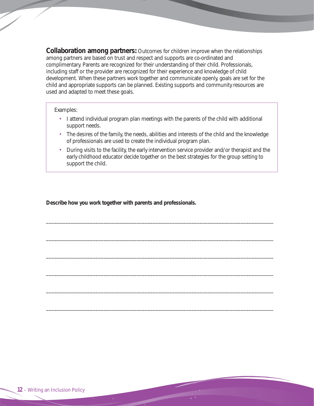**Collaboration among partners:** Outcomes for children improve when the relationships among partners are based on trust and respect and supports are co-ordinated and complimentary. Parents are recognized for their understanding of their child. Professionals, including staff or the provider are recognized for their experience and knowledge of child development. When these partners work together and communicate openly, goals are set for the child and appropriate supports can be planned. Existing supports and community resources are used and adapted to meet these goals.

#### Examples:

- I attend individual program plan meetings with the parents of the child with additional support needs.
- The desires of the family, the needs, abilities and interests of the child and the knowledge of professionals are used to create the individual program plan.
- During visits to the facility, the early intervention service provider and/or therapist and the early childhood educator decide together on the best strategies for the group setting to support the child.

\_\_\_\_\_\_\_\_\_\_\_\_\_\_\_\_\_\_\_\_\_\_\_\_\_\_\_\_\_\_\_\_\_\_\_\_\_\_\_\_\_\_\_\_\_\_\_\_\_\_\_\_\_\_\_\_\_\_\_\_\_\_\_\_\_\_\_\_\_\_\_\_\_\_\_\_\_\_\_\_\_\_\_

\_\_\_\_\_\_\_\_\_\_\_\_\_\_\_\_\_\_\_\_\_\_\_\_\_\_\_\_\_\_\_\_\_\_\_\_\_\_\_\_\_\_\_\_\_\_\_\_\_\_\_\_\_\_\_\_\_\_\_\_\_\_\_\_\_\_\_\_\_\_\_\_\_\_\_\_\_\_\_\_\_\_\_

\_\_\_\_\_\_\_\_\_\_\_\_\_\_\_\_\_\_\_\_\_\_\_\_\_\_\_\_\_\_\_\_\_\_\_\_\_\_\_\_\_\_\_\_\_\_\_\_\_\_\_\_\_\_\_\_\_\_\_\_\_\_\_\_\_\_\_\_\_\_\_\_\_\_\_\_\_\_\_\_\_\_\_

\_\_\_\_\_\_\_\_\_\_\_\_\_\_\_\_\_\_\_\_\_\_\_\_\_\_\_\_\_\_\_\_\_\_\_\_\_\_\_\_\_\_\_\_\_\_\_\_\_\_\_\_\_\_\_\_\_\_\_\_\_\_\_\_\_\_\_\_\_\_\_\_\_\_\_\_\_\_\_\_\_\_\_

\_\_\_\_\_\_\_\_\_\_\_\_\_\_\_\_\_\_\_\_\_\_\_\_\_\_\_\_\_\_\_\_\_\_\_\_\_\_\_\_\_\_\_\_\_\_\_\_\_\_\_\_\_\_\_\_\_\_\_\_\_\_\_\_\_\_\_\_\_\_\_\_\_\_\_\_\_\_\_\_\_\_\_

\_\_\_\_\_\_\_\_\_\_\_\_\_\_\_\_\_\_\_\_\_\_\_\_\_\_\_\_\_\_\_\_\_\_\_\_\_\_\_\_\_\_\_\_\_\_\_\_\_\_\_\_\_\_\_\_\_\_\_\_\_\_\_\_\_\_\_\_\_\_\_\_\_\_\_\_\_\_\_\_\_\_\_

#### **Describe how you work together with parents and professionals.**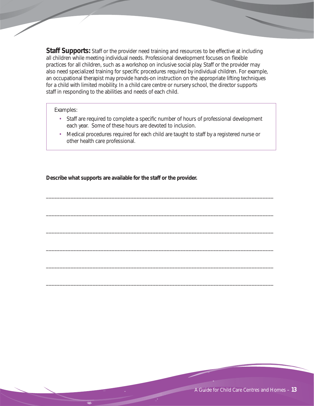**Staff Supports:** Staff or the provider need training and resources to be effective at including all children while meeting individual needs. Professional development focuses on flexible practices for all children, such as a workshop on inclusive social play. Staff or the provider may also need specialized training for specific procedures required by individual children. For example, an occupational therapist may provide hands-on instruction on the appropriate lifting techniques for a child with limited mobility. In a child care centre or nursery school, the director supports staff in responding to the abilities and needs of each child.

#### Examples:

- Staff are required to complete a specific number of hours of professional development each year. Some of these hours are devoted to inclusion.
- Medical procedures required for each child are taught to staff by a registered nurse or other health care professional.

\_\_\_\_\_\_\_\_\_\_\_\_\_\_\_\_\_\_\_\_\_\_\_\_\_\_\_\_\_\_\_\_\_\_\_\_\_\_\_\_\_\_\_\_\_\_\_\_\_\_\_\_\_\_\_\_\_\_\_\_\_\_\_\_\_\_\_\_\_\_\_\_\_\_\_\_\_\_\_\_\_\_\_

\_\_\_\_\_\_\_\_\_\_\_\_\_\_\_\_\_\_\_\_\_\_\_\_\_\_\_\_\_\_\_\_\_\_\_\_\_\_\_\_\_\_\_\_\_\_\_\_\_\_\_\_\_\_\_\_\_\_\_\_\_\_\_\_\_\_\_\_\_\_\_\_\_\_\_\_\_\_\_\_\_\_\_

\_\_\_\_\_\_\_\_\_\_\_\_\_\_\_\_\_\_\_\_\_\_\_\_\_\_\_\_\_\_\_\_\_\_\_\_\_\_\_\_\_\_\_\_\_\_\_\_\_\_\_\_\_\_\_\_\_\_\_\_\_\_\_\_\_\_\_\_\_\_\_\_\_\_\_\_\_\_\_\_\_\_\_

\_\_\_\_\_\_\_\_\_\_\_\_\_\_\_\_\_\_\_\_\_\_\_\_\_\_\_\_\_\_\_\_\_\_\_\_\_\_\_\_\_\_\_\_\_\_\_\_\_\_\_\_\_\_\_\_\_\_\_\_\_\_\_\_\_\_\_\_\_\_\_\_\_\_\_\_\_\_\_\_\_\_\_

\_\_\_\_\_\_\_\_\_\_\_\_\_\_\_\_\_\_\_\_\_\_\_\_\_\_\_\_\_\_\_\_\_\_\_\_\_\_\_\_\_\_\_\_\_\_\_\_\_\_\_\_\_\_\_\_\_\_\_\_\_\_\_\_\_\_\_\_\_\_\_\_\_\_\_\_\_\_\_\_\_\_\_

\_\_\_\_\_\_\_\_\_\_\_\_\_\_\_\_\_\_\_\_\_\_\_\_\_\_\_\_\_\_\_\_\_\_\_\_\_\_\_\_\_\_\_\_\_\_\_\_\_\_\_\_\_\_\_\_\_\_\_\_\_\_\_\_\_\_\_\_\_\_\_\_\_\_\_\_\_\_\_\_\_\_\_

**Describe what supports are available for the staff or the provider.**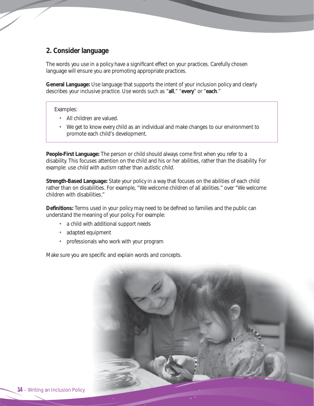#### **2. Consider language**

The words you use in a policy have a significant effect on your practices. Carefully chosen language will ensure you are promoting appropriate practices.

**General Language:** Use language that supports the intent of your inclusion policy and clearly describes your inclusive practice. Use words such as "**all**," "**every**" or "**each**."

#### Examples:

- All children are valued.
- We get to know every child as an individual and make changes to our environment to promote each child's development.

People-First Language: The person or child should always come first when you refer to a disability. This focuses attention on the child and his or her abilities, rather than the disability. For example: use child with autism rather than autistic child.

**Strength-Based Language:** State your policy in a way that focuses on the abilities of each child rather than on disabilities. For example, "We welcome children of all abilities." over "We welcome children with disabilities."

Definitions: Terms used in your policy may need to be defined so families and the public can understand the meaning of your policy. For example:

- a child with additional support needs
- adapted equipment
- professionals who work with your program

Make sure you are specific and explain words and concepts.

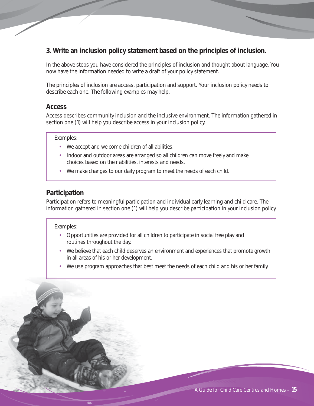**3. Write an inclusion policy statement based on the principles of inclusion.**

In the above steps you have considered the principles of inclusion and thought about language. You now have the information needed to write a draft of your policy statement.

The principles of inclusion are access, participation and support. Your inclusion policy needs to describe each one. The following examples may help.

#### **Access**

Access describes community inclusion and the inclusive environment. The information gathered in section one (1) will help you describe access in your inclusion policy.

#### Examples:

- We accept and welcome children of all abilities.
- Indoor and outdoor areas are arranged so all children can move freely and make choices based on their abilities, interests and needs.
- We make changes to our daily program to meet the needs of each child.

#### **Participation**

Participation refers to meaningful participation and individual early learning and child care. The information gathered in section one (1) will help you describe participation in your inclusion policy.

#### Examples:

- Opportunities are provided for all children to participate in social free play and routines throughout the day.
- We believe that each child deserves an environment and experiences that promote growth in all areas of his or her development.
- We use program approaches that best meet the needs of each child and his or her family.

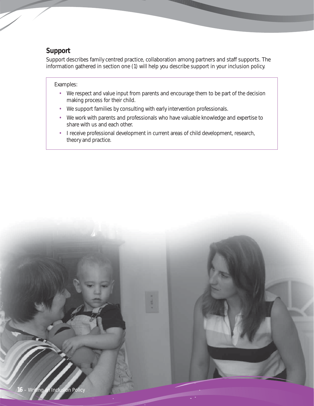#### **Support**

Support describes family centred practice, collaboration among partners and staff supports. The information gathered in section one (1) will help you describe support in your inclusion policy.

#### Examples:

- We respect and value input from parents and encourage them to be part of the decision making process for their child.
- We support families by consulting with early intervention professionals.
- We work with parents and professionals who have valuable knowledge and expertise to share with us and each other.
- I receive professional development in current areas of child development, research, theory and practice.

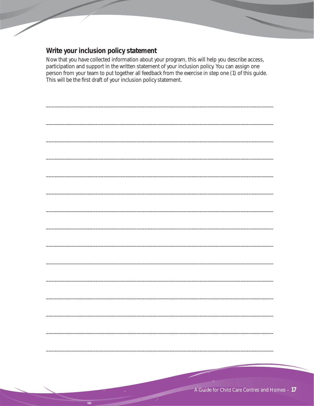#### Write your inclusion policy statement

Now that you have collected information about your program, this will help you describe access, participation and support in the written statement of your inclusion policy. You can assign one person from your team to put together all feedback from the exercise in step one (1) of this guide. This will be the first draft of your inclusion policy statement.

**TANAHIMA**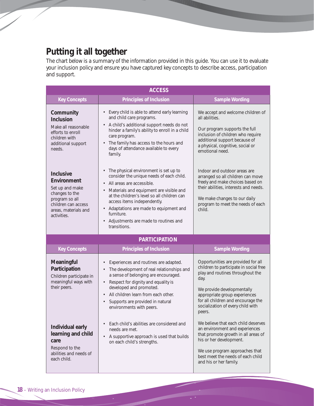## **Putting it all together**

The chart below is a summary of the information provided in this guide. You can use it to evaluate your inclusion policy and ensure you have captured key concepts to describe access, participation and support.

| <b>ACCESS</b>                                                                                                                                 |                                                                                                                                                                                                                                                                                                                                                                         |                                                                                                                                                                                                                                                                              |  |
|-----------------------------------------------------------------------------------------------------------------------------------------------|-------------------------------------------------------------------------------------------------------------------------------------------------------------------------------------------------------------------------------------------------------------------------------------------------------------------------------------------------------------------------|------------------------------------------------------------------------------------------------------------------------------------------------------------------------------------------------------------------------------------------------------------------------------|--|
| <b>Key Concepts</b>                                                                                                                           | Principles of Inclusion                                                                                                                                                                                                                                                                                                                                                 | Sample Wording                                                                                                                                                                                                                                                               |  |
| Community<br>Inclusion<br>Make all reasonable<br>efforts to enroll<br>children with<br>additional support<br>needs.                           | Every child is able to attend early learning<br>and child care programs.<br>A child's additional support needs do not<br>hinder a family's ability to enroll in a child<br>care program.<br>The family has access to the hours and<br>days of attendance available to every<br>family.                                                                                  | We accept and welcome children of<br>all abilities.<br>Our program supports the full<br>inclusion of children who require<br>additional support because of<br>a physical, cognitive, social or<br>emotional need.                                                            |  |
| Inclusive<br>Environment<br>Set up and make<br>changes to the<br>program so all<br>children can access<br>areas, materials and<br>activities. | The physical environment is set up to<br>consider the unique needs of each child.<br>All areas are accessible.<br>Materials and equipment are visible and<br>٠<br>at the children's level so all children can<br>access items independently.<br>Adaptations are made to equipment and<br>furniture.<br>Adjustments are made to routines and<br>$\bullet$<br>transitions | Indoor and outdoor areas are<br>arranged so all children can move<br>freely and make choices based on<br>their abilities, interests and needs.<br>We make changes to our daily<br>program to meet the needs of each<br>child.                                                |  |
| <b>PARTICIPATION</b>                                                                                                                          |                                                                                                                                                                                                                                                                                                                                                                         |                                                                                                                                                                                                                                                                              |  |
| <b>Key Concepts</b>                                                                                                                           | Principles of Inclusion                                                                                                                                                                                                                                                                                                                                                 | Sample Wording                                                                                                                                                                                                                                                               |  |
| Meaningful<br>Participation<br>Children participate in<br>meaningful ways with<br>their peers.                                                | Experiences and routines are adapted.<br>$\bullet$<br>The development of real relationships and<br>a sense of belonging are encouraged.<br>Respect for dignity and equality is<br>developed and promoted.<br>All children learn from each other.<br>Supports are provided in natural<br>$\bullet$<br>environments with peers.                                           | Opportunities are provided for all<br>children to participate in social free<br>play and routines throughout the<br>day.<br>We provide developmentally<br>appropriate group experiences<br>for all children and encourage the<br>socialization of every child with<br>peers. |  |
| Individual early<br>learning and child<br>care<br>Respond to the<br>abilities and needs of<br>each child.                                     | Each child's abilities are considered and<br>needs are met.<br>A supportive approach is used that builds<br>on each child's strengths.                                                                                                                                                                                                                                  | We believe that each child deserves<br>an environment and experiences<br>that promote growth in all areas of<br>his or her development.<br>We use program approaches that<br>best meet the needs of each child<br>and his or her family.                                     |  |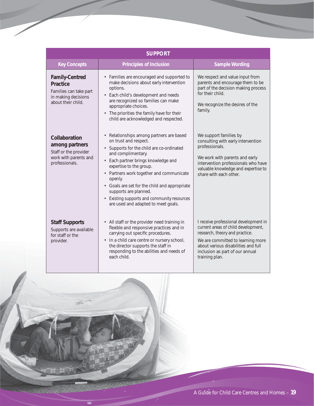| <b>SUPPORT</b>                                                                                           |                                                                                                                                                                                                                                                                                                                                                                                                                                                                           |                                                                                                                                                                                                                                                 |  |
|----------------------------------------------------------------------------------------------------------|---------------------------------------------------------------------------------------------------------------------------------------------------------------------------------------------------------------------------------------------------------------------------------------------------------------------------------------------------------------------------------------------------------------------------------------------------------------------------|-------------------------------------------------------------------------------------------------------------------------------------------------------------------------------------------------------------------------------------------------|--|
| <b>Key Concepts</b>                                                                                      | Principles of Inclusion                                                                                                                                                                                                                                                                                                                                                                                                                                                   | Sample Wording                                                                                                                                                                                                                                  |  |
| <b>Family-Centred</b><br>Practice<br>Families can take part<br>in making decisions<br>about their child. | Families are encouraged and supported to<br>$\bullet$<br>make decisions about early intervention<br>options.<br>• Each child's development and needs<br>are recognized so families can make<br>appropriate choices.<br>• The priorities the family have for their<br>child are acknowledged and respected.                                                                                                                                                                | We respect and value input from<br>parents and encourage them to be<br>part of the decision making process<br>for their child.<br>We recognize the desires of the<br>family.                                                                    |  |
| Collaboration<br>among partners<br>Staff or the provider<br>work with parents and<br>professionals.      | Relationships among partners are based<br>$\bullet$<br>on trust and respect.<br>Supports for the child are co-ordinated<br>$\bullet$<br>and complimentary.<br>• Each partner brings knowledge and<br>expertise to the group.<br>Partners work together and communicate<br>$\bullet$<br>openly.<br>• Goals are set for the child and appropriate<br>supports are planned.<br>Existing supports and community resources<br>$\bullet$<br>are used and adapted to meet goals. | We support families by<br>consulting with early intervention<br>professionals.<br>We work with parents and early<br>intervention professionals who have<br>valuable knowledge and expertise to<br>share with each other.                        |  |
| <b>Staff Supports</b><br>Supports are available<br>for staff or the<br>provider.                         | All staff or the provider need training in<br>$\bullet$<br>flexible and responsive practices and in<br>carrying out specific procedures.<br>In a child care centre or nursery school,<br>$\bullet$<br>the director supports the staff in<br>responding to the abilities and needs of<br>each child.                                                                                                                                                                       | I receive professional development in<br>current areas of child development,<br>research, theory and practice.<br>We are committed to learning more<br>about various disabilities and full<br>inclusion as part of our annual<br>training plan. |  |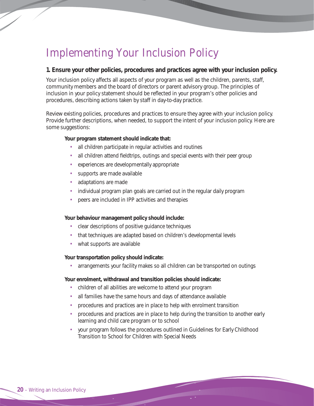## Implementing Your Inclusion Policy

**1. Ensure your other policies, procedures and practices agree with your inclusion policy.** 

Your inclusion policy affects all aspects of your program as well as the children, parents, staff, community members and the board of directors or parent advisory group. The principles of inclusion in your policy statement should be reflected in your program's other policies and procedures, describing actions taken by staff in day-to-day practice.

Review existing policies, procedures and practices to ensure they agree with your inclusion policy. Provide further descriptions, when needed, to support the intent of your inclusion policy. Here are some suggestions:

#### **Your program statement should indicate that:**

- all children participate in regular activities and routines
- all children attend fieldtrips, outings and special events with their peer group
- experiences are developmentally appropriate
- supports are made available
- adaptations are made
- individual program plan goals are carried out in the regular daily program
- peers are included in IPP activities and therapies

#### **Your behaviour management policy should include:**

- clear descriptions of positive guidance techniques
- that techniques are adapted based on children's developmental levels
- what supports are available

#### **Your transportation policy should indicate:**

• arrangements your facility makes so all children can be transported on outings

#### **Your enrolment, withdrawal and transition policies should indicate:**

- children of all abilities are welcome to attend your program
- all families have the same hours and days of attendance available
- procedures and practices are in place to help with enrolment transition
- procedures and practices are in place to help during the transition to another early learning and child care program or to school
- your program follows the procedures outlined in Guidelines for Early Childhood Transition to School for Children with Special Needs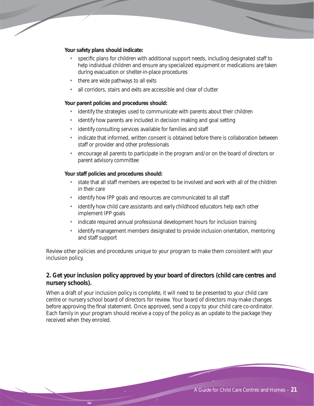#### **Your safety plans should indicate:**

- specific plans for children with additional support needs, including designated staff to help individual children and ensure any specialized equipment or medications are taken during evacuation or shelter-in-place procedures
- there are wide pathways to all exits
- all corridors, stairs and exits are accessible and clear of clutter

#### **Your parent policies and procedures should:**

- identify the strategies used to communicate with parents about their children
- identify how parents are included in decision making and goal setting
- identify consulting services available for families and staff
- indicate that informed, written consent is obtained before there is collaboration between staff or provider and other professionals
- encourage all parents to participate in the program and/or on the board of directors or parent advisory committee

#### **Your staff policies and procedures should:**

- state that all staff members are expected to be involved and work with all of the children in their care
- identify how IPP goals and resources are communicated to all staff
- identify how child care assistants and early childhood educators help each other implement IPP goals
- indicate required annual professional development hours for inclusion training
- identify management members designated to provide inclusion orientation, mentoring and staff support

Review other policies and procedures unique to your program to make them consistent with your inclusion policy.

**2. Get your inclusion policy approved by your board of directors (child care centres and nursery schools).**

When a draft of your inclusion policy is complete, it will need to be presented to your child care centre or nursery school board of directors for review. Your board of directors may make changes before approving the final statement. Once approved, send a copy to your child care co-ordinator. Each family in your program should receive a copy of the policy as an update to the package they received when they enroled.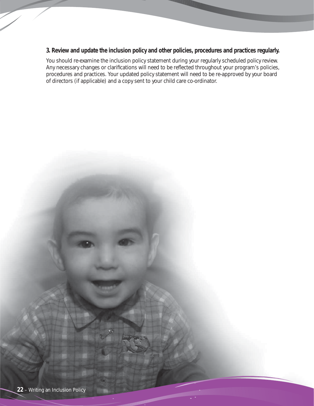**3. Review and update the inclusion policy and other policies, procedures and practices regularly.**

You should re-examine the inclusion policy statement during your regularly scheduled policy review. Any necessary changes or clarifications will need to be reflected throughout your program's policies, procedures and practices. Your updated policy statement will need to be re-approved by your board of directors (if applicable) and a copy sent to your child care co-ordinator.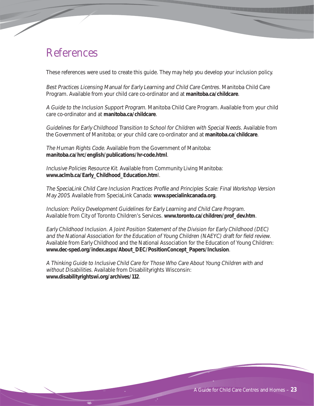## References

These references were used to create this guide. They may help you develop your inclusion policy.

Best Practices Licensing Manual for Early Learning and Child Care Centres. Manitoba Child Care Program. Available from your child care co-ordinator and at **manitoba.ca/childcare**.

A Guide to the Inclusion Support Program. Manitoba Child Care Program. Available from your child care co-ordinator and at **manitoba.ca/childcare**.

Guidelines for Early Childhood Transition to School for Children with Special Needs. Available from the Government of Manitoba; or your child care co-ordinator and at **manitoba.ca/childcare**.

The Human Rights Code. Available from the Government of Manitoba: **manitoba.ca/hrc/english/publications/hr-code.html**.

Inclusive Policies Resource Kit. Available from Community Living Manitoba: **www.aclmb.ca/Early\_Childhood\_Education.htm**l.

The SpeciaLink Child Care Inclusion Practices Profile and Principles Scale: Final Workshop Version May 2005. Available from SpeciaLink Canada: **www.specialinkcanada.org**.

Inclusion: Policy Development Guidelines for Early Learning and Child Care Program. Available from City of Toronto Children's Services. **www.toronto.ca/children/prof\_dev.htm**.

Early Childhood Inclusion. A Joint Position Statement of the Division for Early Childhood (DEC) and the National Association for the Education of Young Children (NAEYC) draft for field review. Available from Early Childhood and the National Association for the Education of Young Children: **www.dec-sped.org/index.aspx/About\_DEC/PositionConcept\_Papers/Inclusion**.

A Thinking Guide to Inclusive Child Care for Those Who Care About Young Children with and without Disabilities. Available from Disabilityrights Wisconsin: **www.disabilityrightswi.org/archives/112**.